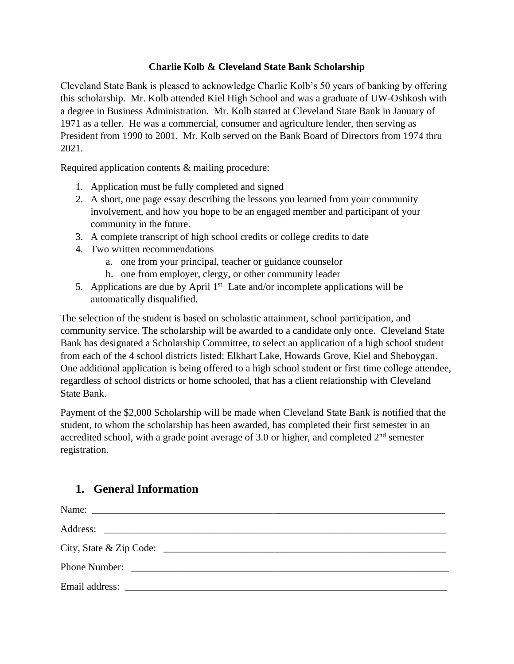#### **Charlie Kolb & Cleveland State Bank Scholarship**

Cleveland State Bank is pleased to acknowledge Charlie Kolb's 50 years of banking by offering this scholarship. Mr. Kolb attended Kiel High School and was a graduate of UW-Oshkosh with a degree in Business Administration. Mr. Kolb started at Cleveland State Bank in January of 1971 as a teller. He was a commercial, consumer and agriculture lender, then serving as President from 1990 to 2001. Mr. Kolb served on the Bank Board of Directors from 1974 thru 2021.

Required application contents & mailing procedure:

- 1. Application must be fully completed and signed
- 2. A short, one page essay describing the lessons you learned from your community involvement, and how you hope to be an engaged member and participant of your community in the future.
- 3. A complete transcript of high school credits or college credits to date
- 4. Two written recommendations
	- a. one from your principal, teacher or guidance counselor
	- b. one from employer, clergy, or other community leader
- 5. Applications are due by April  $1<sup>st</sup>$ . Late and/or incomplete applications will be automatically disqualified.

The selection of the student is based on scholastic attainment, school participation, and community service. The scholarship will be awarded to a candidate only once. Cleveland State Bank has designated a Scholarship Committee, to select an application of a high school student from each of the 4 school districts listed: Elkhart Lake, Howards Grove, Kiel and Sheboygan. One additional application is being offered to a high school student or first time college attendee, regardless of school districts or home schooled, that has a client relationship with Cleveland State Bank.

Payment of the \$2,000 Scholarship will be made when Cleveland State Bank is notified that the student, to whom the scholarship has been awarded, has completed their first semester in an accredited school, with a grade point average of  $3.0$  or higher, and completed  $2<sup>nd</sup>$  semester registration.

#### **1. General Information**

| City, State & Zip Code: |
|-------------------------|
|                         |
|                         |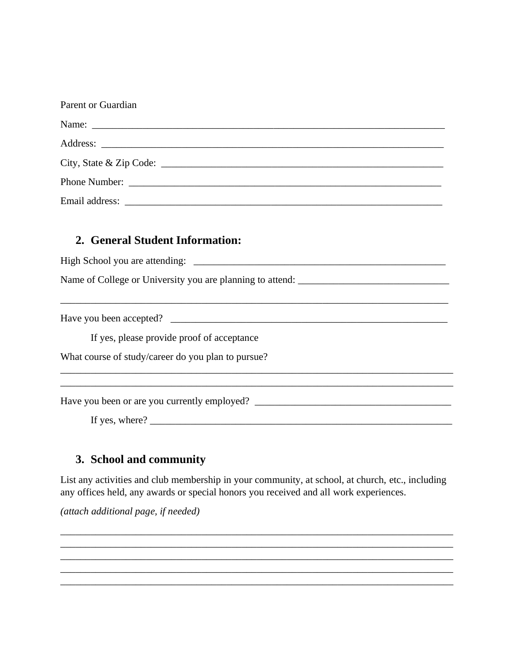| <b>Parent or Guardian</b> |  |  |
|---------------------------|--|--|
|                           |  |  |
|                           |  |  |
| City, State & Zip Code:   |  |  |
|                           |  |  |
| Email address:            |  |  |

## 2. General Student Information:

Name of College or University you are planning to attend:

<u> 1980 - Johann Harry Harry Harry Harry Harry Harry Harry Harry Harry Harry Harry Harry Harry Harry Harry Harry</u>

If yes, please provide proof of acceptance

What course of study/career do you plan to pursue?

If yes, where?  $\frac{1}{2}$   $\frac{1}{2}$   $\frac{1}{2}$   $\frac{1}{2}$   $\frac{1}{2}$   $\frac{1}{2}$   $\frac{1}{2}$   $\frac{1}{2}$   $\frac{1}{2}$   $\frac{1}{2}$   $\frac{1}{2}$   $\frac{1}{2}$   $\frac{1}{2}$   $\frac{1}{2}$   $\frac{1}{2}$   $\frac{1}{2}$   $\frac{1}{2}$   $\frac{1}{2}$   $\frac{1}{2}$   $\frac{1}{2}$   $\frac{1}{$ 

# 3. School and community

List any activities and club membership in your community, at school, at church, etc., including any offices held, any awards or special honors you received and all work experiences.

(attach additional page, if needed)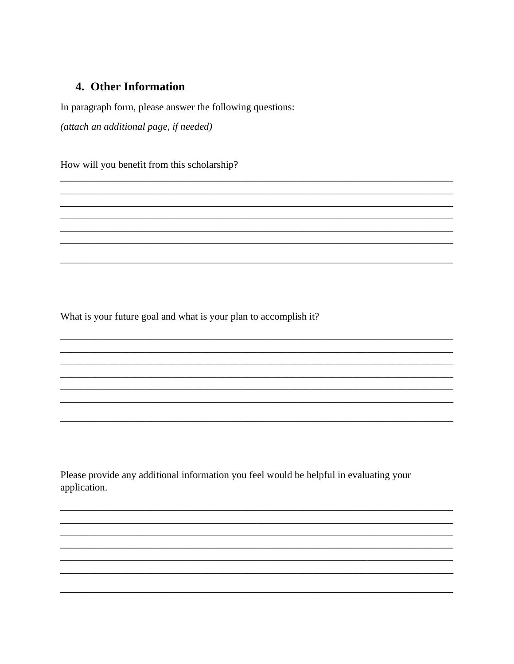# 4. Other Information

In paragraph form, please answer the following questions:

(attach an additional page, if needed)

How will you benefit from this scholarship?

What is your future goal and what is your plan to accomplish it?

Please provide any additional information you feel would be helpful in evaluating your application.